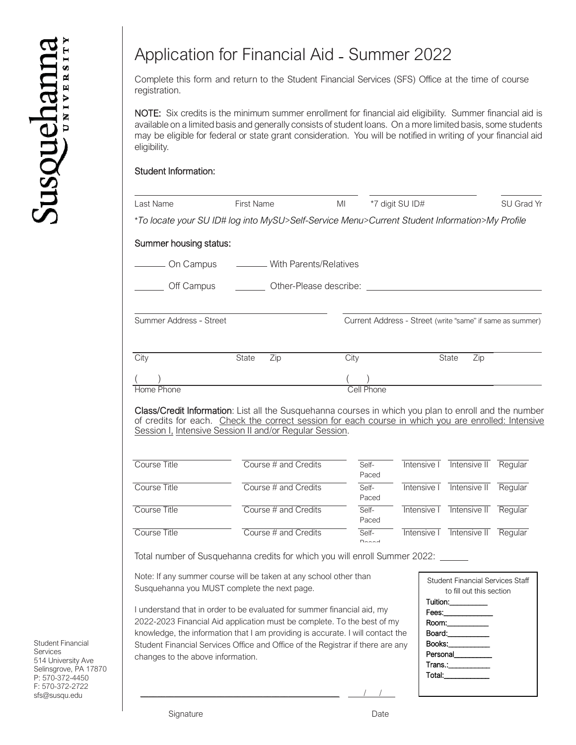## Application for Financial Aid - Summer 2022

Complete this form and return to the Student Financial Services (SFS) Office at the time of course registration.

NOTE: Six credits is the minimum summer enrollment for financial aid eligibility. Summer financial aid is available on a limited basis and generally consists of student loans. On a more limited basis, some students may be eligible for federal or state grant consideration. You will be notified in writing of your financial aid eligibility.

## Student Information:

| Last Name               | <b>First Name</b>                                                                                                                                                                                            | MI   |                | *7 digit SU ID#                                           |                                                              | SU Grad Yr |
|-------------------------|--------------------------------------------------------------------------------------------------------------------------------------------------------------------------------------------------------------|------|----------------|-----------------------------------------------------------|--------------------------------------------------------------|------------|
|                         | *To locate your SU ID# log into MySU>Self-Service Menu>Current Student Information>My Profile                                                                                                                |      |                |                                                           |                                                              |            |
| Summer housing status:  |                                                                                                                                                                                                              |      |                |                                                           |                                                              |            |
| - On Campus             | - With Parents/Relatives                                                                                                                                                                                     |      |                |                                                           |                                                              |            |
| Off Campus              |                                                                                                                                                                                                              |      |                |                                                           |                                                              |            |
| Summer Address - Street |                                                                                                                                                                                                              |      |                | Current Address - Street (write "same" if same as summer) |                                                              |            |
| City                    | State<br>$\overline{Zip}$                                                                                                                                                                                    | City |                |                                                           | State<br>$\overline{Zip}$                                    |            |
|                         |                                                                                                                                                                                                              |      |                |                                                           |                                                              |            |
|                         |                                                                                                                                                                                                              |      |                |                                                           |                                                              |            |
| Home Phone              | Class/Credit Information: List all the Susquehanna courses in which you plan to enroll and the number<br>of credits for each. Check the correct session for each course in which you are enrolled: Intensive |      | Cell Phone     |                                                           |                                                              |            |
| Course Title            | Session I, Intensive Session II and/or Regular Session.<br>Course # and Credits                                                                                                                              |      | Self-<br>Paced |                                                           | Intensive I Intensive II Regular                             |            |
| Course Title            | Course # and Credits                                                                                                                                                                                         |      | Self-<br>Paced |                                                           | Intensive T Intensive II                                     | Regular    |
| <b>Course Title</b>     | Course # and Credits                                                                                                                                                                                         |      | Self-<br>Paced |                                                           | Intensive I Intensive II                                     | Regular    |
| Course Title            | Course # and Credits                                                                                                                                                                                         |      | Self-<br>Donad |                                                           | Intensive I Intensive II Regular                             |            |
|                         | Total number of Susquehanna credits for which you will enroll Summer 2022: ____                                                                                                                              |      |                |                                                           |                                                              |            |
|                         |                                                                                                                                                                                                              |      |                |                                                           |                                                              |            |
|                         | Note: If any summer course will be taken at any school other than<br>Susquehanna you MUST complete the next page.                                                                                            |      |                | Tuition:                                                  | Student Financial Services Staff<br>to fill out this section |            |

2022-2023 Financial Aid application must be complete. To the best of my knowledge, the information that I am providing is accurate. I will contact the Student Financial Services Office and Office of the Registrar if there are any changes to the above information.

\_\_\_\_\_\_\_\_\_\_\_\_\_\_\_\_\_\_\_\_\_\_\_\_\_\_\_\_\_\_\_\_\_\_\_\_\_\_\_\_\_\_\_\_\_\_\_ / /

| <b>Student Financial Services Staff</b><br>to fill out this section |
|---------------------------------------------------------------------|
| Tuition:__________                                                  |
| Fees: ____________                                                  |
| Room:___________                                                    |
| Board:___________                                                   |
| Books:___________                                                   |
| Personal                                                            |
| Trans.:____________                                                 |
| Total:_____________                                                 |
|                                                                     |

Student Financial Services 514 University Ave Selinsgrove, PA 17870 P: 570-372-4450 F: 570-372-2722 sfs@susqu.edu